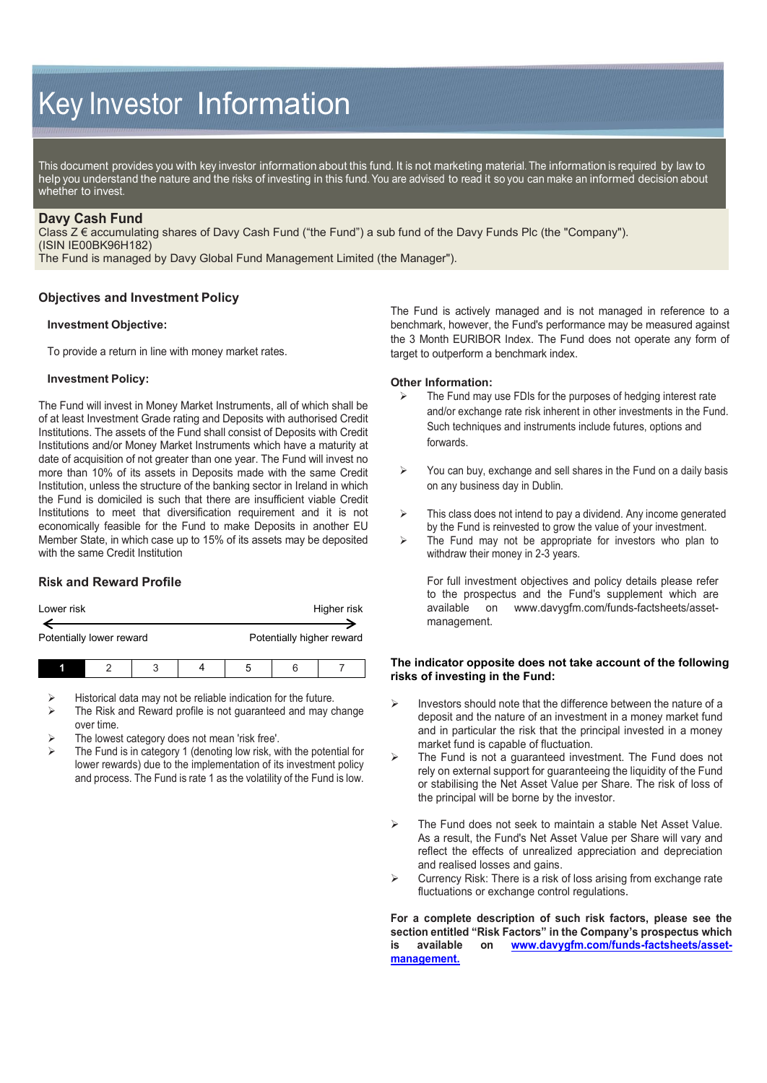# Key Investor Information

This document provides you with key investor information about this fund. It is not marketing material. The information is required by law to help you understand the nature and the risks of investing in this fund. You are advised to read it so you can make an informed decision about whether to invest.

## **Davy Cash Fund**

Class Z € accumulating shares of Davy Cash Fund ("the Fund") a sub fund of the Davy Funds Plc (the "Company"). (ISIN IE00BK96H182)

The Fund is managed by Davy Global Fund Management Limited (the Manager").

## **Objectives and Investment Policy**

#### **Investment Objective:**

To provide a return in line with money market rates.

#### **Investment Policy:**

The Fund will invest in Money Market Instruments, all of which shall be of at least Investment Grade rating and Deposits with authorised Credit Institutions. The assets of the Fund shall consist of Deposits with Credit Institutions and/or Money Market Instruments which have a maturity at date of acquisition of not greater than one year. The Fund will invest no more than 10% of its assets in Deposits made with the same Credit Institution, unless the structure of the banking sector in Ireland in which the Fund is domiciled is such that there are insufficient viable Credit Institutions to meet that diversification requirement and it is not economically feasible for the Fund to make Deposits in another EU Member State, in which case up to 15% of its assets may be deposited with the same Credit Institution

# **Risk and Reward Profile**

| Lower risk               |  |  |  |                           |  | Higher risk |  |
|--------------------------|--|--|--|---------------------------|--|-------------|--|
| Potentially lower reward |  |  |  | Potentially higher reward |  |             |  |
|                          |  |  |  |                           |  |             |  |

- Historical data may not be reliable indication for the future.
- The Risk and Reward profile is not guaranteed and may change over time.
- The lowest category does not mean 'risk free'.
- The Fund is in category 1 (denoting low risk, with the potential for lower rewards) due to the implementation of its investment policy and process. The Fund is rate 1 as the volatility of the Fund is low.

The Fund is actively managed and is not managed in reference to a benchmark, however, the Fund's performance may be measured against the 3 Month EURIBOR Index. The Fund does not operate any form of target to outperform a benchmark index.

#### **Other Information:**

- The Fund may use FDIs for the purposes of hedging interest rate and/or exchange rate risk inherent in other investments in the Fund. Such techniques and instruments include futures, options and forwards.
- $\triangleright$  You can buy, exchange and sell shares in the Fund on a daily basis on any business day in Dublin.
- $\triangleright$  This class does not intend to pay a dividend. Any income generated by the Fund is reinvested to grow the value of your investment.
- $\triangleright$  The Fund may not be appropriate for investors who plan to withdraw their money in 2-3 years.

For full investment objectives and policy details please refer to the prospectus and the Fund's supplement which are available on [www.davygfm.com/funds-factsheets/asset](http://www.davygfm.com/funds-factsheets/asset-management)[management.](http://www.davygfm.com/funds-factsheets/asset-management)

#### **The indicator opposite does not take account of the following risks of investing in the Fund:**

- $\triangleright$  Investors should note that the difference between the nature of a deposit and the nature of an investment in a money market fund and in particular the risk that the principal invested in a money market fund is capable of fluctuation.
- $\triangleright$  The Fund is not a guaranteed investment. The Fund does not rely on external support for guaranteeing the liquidity of the Fund or stabilising the Net Asset Value per Share. The risk of loss of the principal will be borne by the investor.
- The Fund does not seek to maintain a stable Net Asset Value. As a result, the Fund's Net Asset Value per Share will vary and reflect the effects of unrealized appreciation and depreciation and realised losses and gains.
- Currency Risk: There is a risk of loss arising from exchange rate fluctuations or exchange control regulations.

**For a complete description of such risk factors, please see the section entitled "Risk Factors" in the Company's prospectus which is available on [www.davygfm.com/funds-factsheets/asset](http://www.davygfm.com/funds-factsheets/asset-management)[management.](http://www.davygfm.com/funds-factsheets/asset-management)**